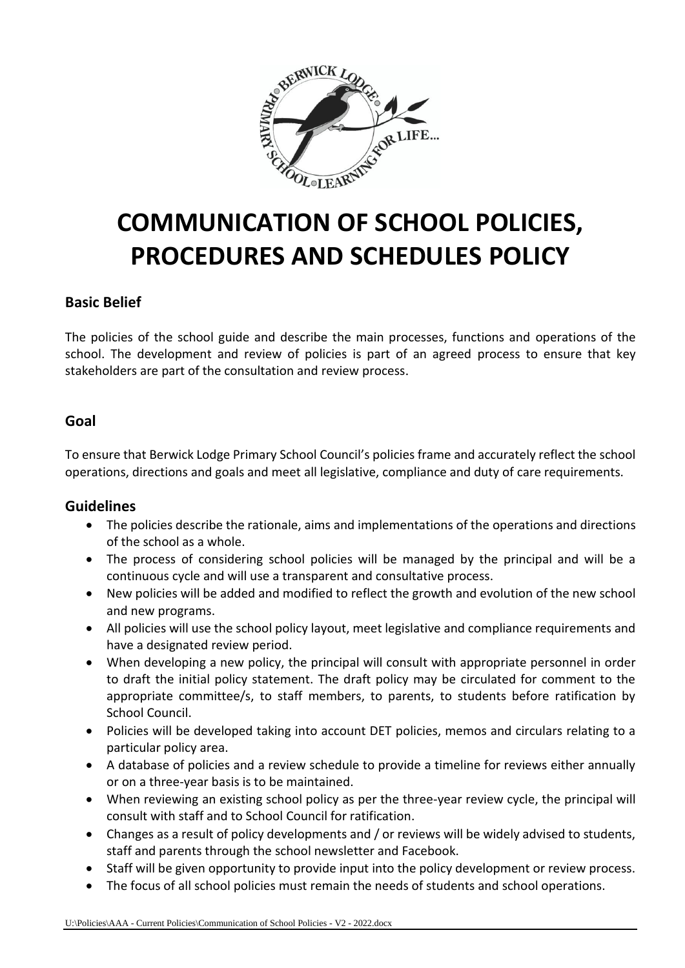

# **COMMUNICATION OF SCHOOL POLICIES, PROCEDURES AND SCHEDULES POLICY**

## **Basic Belief**

The policies of the school guide and describe the main processes, functions and operations of the school. The development and review of policies is part of an agreed process to ensure that key stakeholders are part of the consultation and review process.

## **Goal**

To ensure that Berwick Lodge Primary School Council's policies frame and accurately reflect the school operations, directions and goals and meet all legislative, compliance and duty of care requirements.

### **Guidelines**

- The policies describe the rationale, aims and implementations of the operations and directions of the school as a whole.
- The process of considering school policies will be managed by the principal and will be a continuous cycle and will use a transparent and consultative process.
- New policies will be added and modified to reflect the growth and evolution of the new school and new programs.
- All policies will use the school policy layout, meet legislative and compliance requirements and have a designated review period.
- When developing a new policy, the principal will consult with appropriate personnel in order to draft the initial policy statement. The draft policy may be circulated for comment to the appropriate committee/s, to staff members, to parents, to students before ratification by School Council.
- Policies will be developed taking into account DET policies, memos and circulars relating to a particular policy area.
- A database of policies and a review schedule to provide a timeline for reviews either annually or on a three-year basis is to be maintained.
- When reviewing an existing school policy as per the three-year review cycle, the principal will consult with staff and to School Council for ratification.
- Changes as a result of policy developments and / or reviews will be widely advised to students, staff and parents through the school newsletter and Facebook.
- Staff will be given opportunity to provide input into the policy development or review process.
- The focus of all school policies must remain the needs of students and school operations.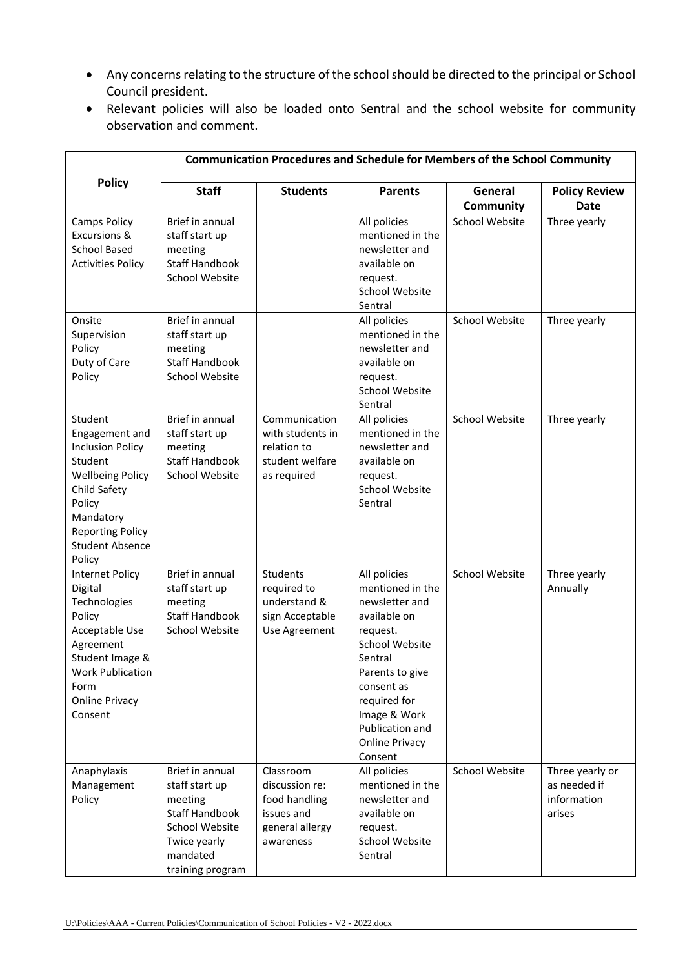- Any concerns relating to the structure of the school should be directed to the principal or School Council president.
- Relevant policies will also be loaded onto Sentral and the school website for community observation and comment.

|                                                                                                                                                                                                  | <b>Communication Procedures and Schedule for Members of the School Community</b>                                                        |                                                                                            |                                                                                                                                                                                                                                            |                             |                                                          |  |  |
|--------------------------------------------------------------------------------------------------------------------------------------------------------------------------------------------------|-----------------------------------------------------------------------------------------------------------------------------------------|--------------------------------------------------------------------------------------------|--------------------------------------------------------------------------------------------------------------------------------------------------------------------------------------------------------------------------------------------|-----------------------------|----------------------------------------------------------|--|--|
| <b>Policy</b>                                                                                                                                                                                    | <b>Staff</b>                                                                                                                            | <b>Students</b>                                                                            | <b>Parents</b>                                                                                                                                                                                                                             | General<br><b>Community</b> | <b>Policy Review</b><br>Date                             |  |  |
| <b>Camps Policy</b><br><b>Excursions &amp;</b><br><b>School Based</b><br><b>Activities Policy</b>                                                                                                | Brief in annual<br>staff start up<br>meeting<br><b>Staff Handbook</b><br><b>School Website</b>                                          |                                                                                            | All policies<br>mentioned in the<br>newsletter and<br>available on<br>request.<br><b>School Website</b><br>Sentral                                                                                                                         | <b>School Website</b>       | Three yearly                                             |  |  |
| Onsite<br>Supervision<br>Policy<br>Duty of Care<br>Policy                                                                                                                                        | Brief in annual<br>staff start up<br>meeting<br><b>Staff Handbook</b><br>School Website                                                 |                                                                                            | All policies<br>mentioned in the<br>newsletter and<br>available on<br>request.<br><b>School Website</b><br>Sentral                                                                                                                         | <b>School Website</b>       | Three yearly                                             |  |  |
| Student<br>Engagement and<br><b>Inclusion Policy</b><br>Student<br><b>Wellbeing Policy</b><br>Child Safety<br>Policy<br>Mandatory<br><b>Reporting Policy</b><br><b>Student Absence</b><br>Policy | Brief in annual<br>staff start up<br>meeting<br><b>Staff Handbook</b><br>School Website                                                 | Communication<br>with students in<br>relation to<br>student welfare<br>as required         | All policies<br>mentioned in the<br>newsletter and<br>available on<br>request.<br><b>School Website</b><br>Sentral                                                                                                                         | <b>School Website</b>       | Three yearly                                             |  |  |
| <b>Internet Policy</b><br>Digital<br>Technologies<br>Policy<br>Acceptable Use<br>Agreement<br>Student Image &<br><b>Work Publication</b><br>Form<br><b>Online Privacy</b><br>Consent             | Brief in annual<br>staff start up<br>meeting<br><b>Staff Handbook</b><br><b>School Website</b>                                          | Students<br>required to<br>understand &<br>sign Acceptable<br>Use Agreement                | All policies<br>mentioned in the<br>newsletter and<br>available on<br>request.<br><b>School Website</b><br>Sentral<br>Parents to give<br>consent as<br>required for<br>Image & Work<br>Publication and<br><b>Online Privacy</b><br>Consent | <b>School Website</b>       | Three yearly<br>Annually                                 |  |  |
| Anaphylaxis<br>Management<br>Policy                                                                                                                                                              | Brief in annual<br>staff start up<br>meeting<br><b>Staff Handbook</b><br>School Website<br>Twice yearly<br>mandated<br>training program | Classroom<br>discussion re:<br>food handling<br>issues and<br>general allergy<br>awareness | All policies<br>mentioned in the<br>newsletter and<br>available on<br>request.<br>School Website<br>Sentral                                                                                                                                | <b>School Website</b>       | Three yearly or<br>as needed if<br>information<br>arises |  |  |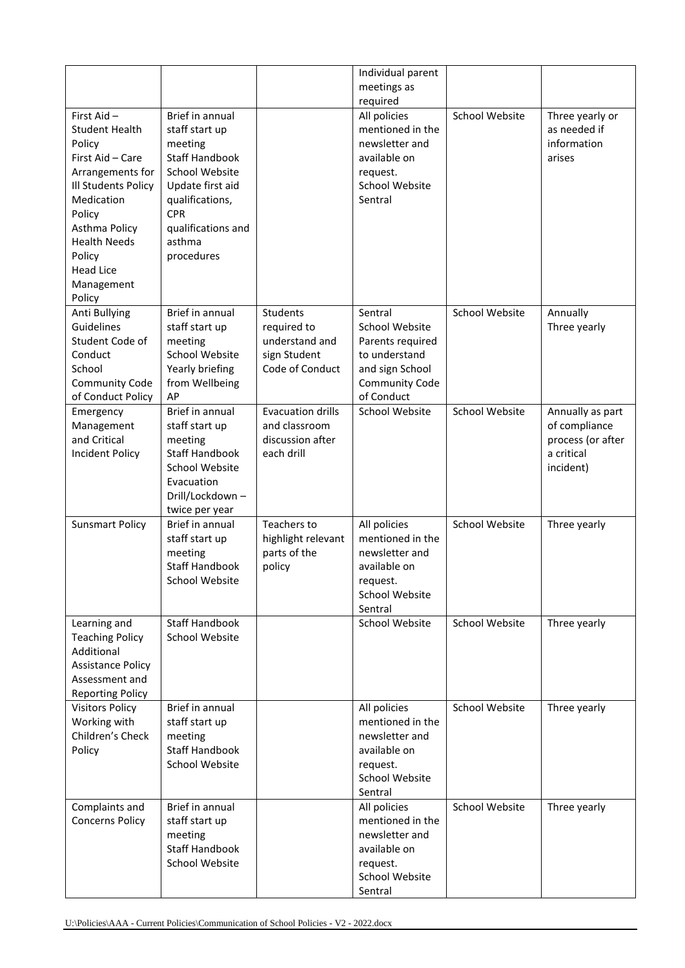|                                                                                                                                                                                                                                    |                                                                                                                                                                                            |                                                                              | Individual parent<br>meetings as<br>required                                                                      |                       |                                                                                   |
|------------------------------------------------------------------------------------------------------------------------------------------------------------------------------------------------------------------------------------|--------------------------------------------------------------------------------------------------------------------------------------------------------------------------------------------|------------------------------------------------------------------------------|-------------------------------------------------------------------------------------------------------------------|-----------------------|-----------------------------------------------------------------------------------|
| First Aid-<br><b>Student Health</b><br>Policy<br>First Aid - Care<br>Arrangements for<br>Ill Students Policy<br>Medication<br>Policy<br>Asthma Policy<br><b>Health Needs</b><br>Policy<br><b>Head Lice</b><br>Management<br>Policy | Brief in annual<br>staff start up<br>meeting<br><b>Staff Handbook</b><br>School Website<br>Update first aid<br>qualifications,<br><b>CPR</b><br>qualifications and<br>asthma<br>procedures |                                                                              | All policies<br>mentioned in the<br>newsletter and<br>available on<br>request.<br>School Website<br>Sentral       | School Website        | Three yearly or<br>as needed if<br>information<br>arises                          |
| Anti Bullying<br>Guidelines<br>Student Code of<br>Conduct<br>School<br>Community Code<br>of Conduct Policy                                                                                                                         | Brief in annual<br>staff start up<br>meeting<br>School Website<br>Yearly briefing<br>from Wellbeing<br>AP                                                                                  | Students<br>required to<br>understand and<br>sign Student<br>Code of Conduct | Sentral<br>School Website<br>Parents required<br>to understand<br>and sign School<br>Community Code<br>of Conduct | <b>School Website</b> | Annually<br>Three yearly                                                          |
| Emergency<br>Management<br>and Critical<br><b>Incident Policy</b>                                                                                                                                                                  | Brief in annual<br>staff start up<br>meeting<br><b>Staff Handbook</b><br>School Website<br>Evacuation<br>Drill/Lockdown-<br>twice per year                                                 | <b>Evacuation drills</b><br>and classroom<br>discussion after<br>each drill  | School Website                                                                                                    | <b>School Website</b> | Annually as part<br>of compliance<br>process (or after<br>a critical<br>incident) |
| <b>Sunsmart Policy</b>                                                                                                                                                                                                             | Brief in annual<br>staff start up<br>meeting<br><b>Staff Handbook</b><br>School Website                                                                                                    | Teachers to<br>highlight relevant<br>parts of the<br>policy                  | All policies<br>mentioned in the<br>newsletter and<br>available on<br>request.<br>School Website<br>Sentral       | <b>School Website</b> | Three yearly                                                                      |
| Learning and<br><b>Teaching Policy</b><br>Additional<br><b>Assistance Policy</b><br>Assessment and<br><b>Reporting Policy</b>                                                                                                      | <b>Staff Handbook</b><br>School Website                                                                                                                                                    |                                                                              | School Website                                                                                                    | School Website        | Three yearly                                                                      |
| <b>Visitors Policy</b><br>Working with<br>Children's Check<br>Policy                                                                                                                                                               | Brief in annual<br>staff start up<br>meeting<br><b>Staff Handbook</b><br>School Website                                                                                                    |                                                                              | All policies<br>mentioned in the<br>newsletter and<br>available on<br>request.<br>School Website<br>Sentral       | School Website        | Three yearly                                                                      |
| Complaints and<br><b>Concerns Policy</b>                                                                                                                                                                                           | Brief in annual<br>staff start up<br>meeting<br><b>Staff Handbook</b><br>School Website                                                                                                    |                                                                              | All policies<br>mentioned in the<br>newsletter and<br>available on<br>request.<br>School Website<br>Sentral       | School Website        | Three yearly                                                                      |